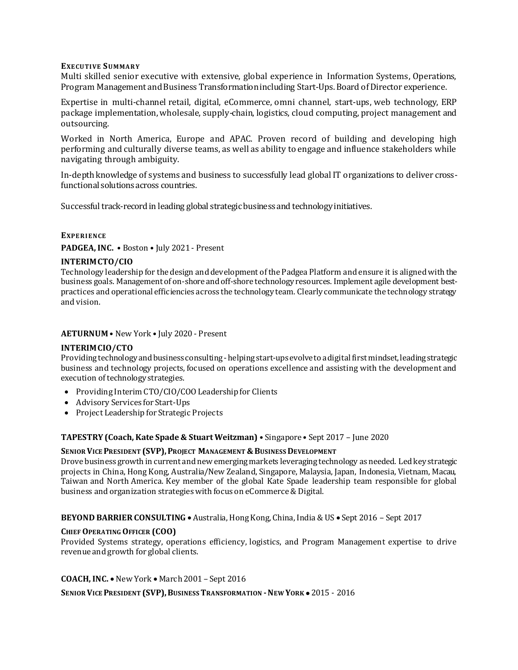#### **EXE CUTI VE SUMMA RY**

Multi skilled senior executive with extensive, global experience in Information Systems, Operations, Program Management and Business Transformation including Start-Ups. Board of Director experience.

Expertise in multi-channel retail, digital, eCommerce, omni channel, start-ups, web technology, ERP package implementation, wholesale, supply-chain, logistics, cloud computing, project management and outsourcing.

Worked in North America, Europe and APAC. Proven record of building and developing high performing and culturally diverse teams, as well as ability to engage and influence stakeholders while navigating through ambiguity.

In-depth knowledge of systems and business to successfully lead global IT organizations to deliver crossfunctional solutions across countries.

Successful track-record in leading global strategic business and technology initiatives.

### **EXPE RI E NCE**

**PADGEA, INC.** • Boston • July 2021 - Present

### **INTERIMCTO/CIO**

Technology leadership for the design and development of the Padgea Platform and ensure it is aligned with the business goals. Management of on-shore and off-shore technology resources. Implement agile development bestpractices and operational efficiencies across the technology team. Clearly communicate the technology strategy and vision.

### **AETURNUM** • New York • July 2020 - Present

### **INTERIMCIO/CTO**

Providing technology and business consulting - helping start-upsevolve to a digital first mindset, leading strategic business and technology projects, focused on operations excellence and assisting with the development and execution of technology strategies.

- Providing Interim CTO/CIO/COO Leadership for Clients
- Advisory Services for Start-Ups
- Project Leadership for Strategic Projects

# **TAPESTRY (Coach, Kate Spade & Stuart Weitzman)** • Singapore • Sept 2017 – June 2020

### **SENIOR VICE PRESIDENT (SVP),PROJECT MANAGEMENT &BUSINESS DEVELOPMENT**

Drove business growth in current and new emerging markets leveraging technology as needed. Led key strategic projects in China, Hong Kong, Australia/New Zealand, Singapore, Malaysia, Japan, Indonesia, Vietnam, Macau, Taiwan and North America. Key member of the global Kate Spade leadership team responsible for global business and organization strategies with focus on eCommerce & Digital.

**BEYOND BARRIER CONSULTING** • Australia, Hong Kong, China, India & US • Sept 2016 – Sept 2017

### **CHIEF OPERATING OFFICER (COO)**

Provided Systems strategy, operations efficiency, logistics, and Program Management expertise to drive revenue and growth for global clients.

**COACH, INC.** • New York • March 2001 – Sept 2016

### **SENIOR VICE PRESIDENT (SVP),BUSINESS TRANSFORMATION -NEW YORK** • 2015 - 2016